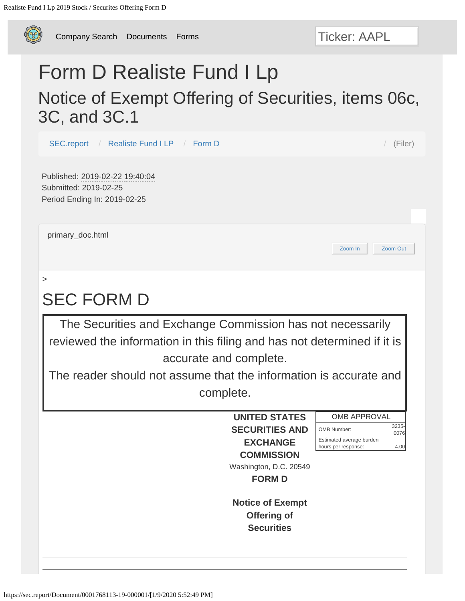<span id="page-0-0"></span>

[Company Search](https://sec.report/CIK/) [Documents](https://sec.report/Document/) [Forms](https://sec.report/Form/)

# Form D Realiste Fund I Lp Notice of Exempt Offering of Securities, items 06c, 3C, and 3C.1

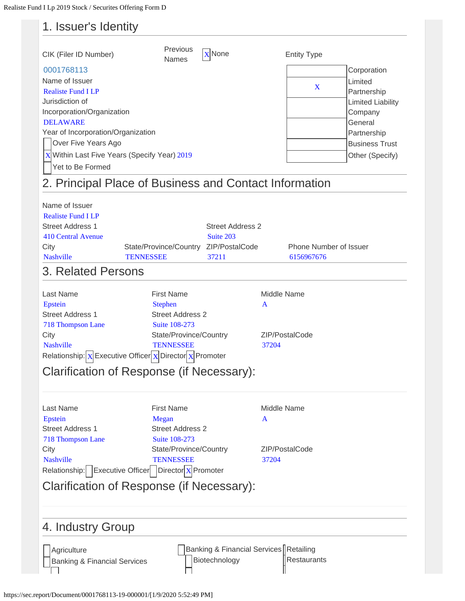### 1. Issuer's Identity

| CIK (Filer ID Number)                                                                                                                                                                                                                                            | Previous<br>Names                                                                                                                                                                                                                           | <b>X</b> None                                           | <b>Entity Type</b>                          |                                                                                                                                                    |
|------------------------------------------------------------------------------------------------------------------------------------------------------------------------------------------------------------------------------------------------------------------|---------------------------------------------------------------------------------------------------------------------------------------------------------------------------------------------------------------------------------------------|---------------------------------------------------------|---------------------------------------------|----------------------------------------------------------------------------------------------------------------------------------------------------|
| 0001768113<br>Name of Issuer<br><b>Realiste Fund I LP</b><br>Jurisdiction of<br>Incorporation/Organization<br><b>DELAWARE</b><br>Year of Incorporation/Organization<br>Over Five Years Ago<br>$X$ Within Last Five Years (Specify Year) 2019<br>Yet to Be Formed |                                                                                                                                                                                                                                             |                                                         | X                                           | Corporation<br>Limited<br>Partnership<br><b>Limited Liability</b><br>Company<br>General<br>Partnership<br><b>Business Trust</b><br>Other (Specify) |
|                                                                                                                                                                                                                                                                  | 2. Principal Place of Business and Contact Information                                                                                                                                                                                      |                                                         |                                             |                                                                                                                                                    |
| Name of Issuer<br><b>Realiste Fund I LP</b><br><b>Street Address 1</b><br><b>410 Central Avenue</b><br>City<br><b>Nashville</b><br>3. Related Persons                                                                                                            | State/Province/Country ZIP/PostalCode<br><b>TENNESSEE</b>                                                                                                                                                                                   | <b>Street Address 2</b><br>Suite 203<br>37211           | Phone Number of Issuer<br>6156967676        |                                                                                                                                                    |
| Last Name<br>Epstein<br><b>Street Address 1</b><br><b>718 Thompson Lane</b><br>City<br><b>Nashville</b>                                                                                                                                                          | <b>First Name</b><br><b>Stephen</b><br><b>Street Address 2</b><br>Suite 108-273<br>State/Province/Country<br><b>TENNESSEE</b><br>Relationship: $x$ Executive Officer $x$ Director $x$ Promoter<br>Clarification of Response (if Necessary): |                                                         | Middle Name<br>A<br>ZIP/PostalCode<br>37204 |                                                                                                                                                    |
| Last Name<br>Epstein<br><b>Street Address 1</b><br>718 Thompson Lane<br>City<br><b>Nashville</b>                                                                                                                                                                 | <b>First Name</b><br>Megan<br><b>Street Address 2</b><br>Suite 108-273<br>State/Province/Country<br><b>TENNESSEE</b><br>Relationship:   Executive Officer    Director X Promoter<br>Clarification of Response (if Necessary):               |                                                         | Middle Name<br>A<br>ZIP/PostalCode<br>37204 |                                                                                                                                                    |
| 4. Industry Group                                                                                                                                                                                                                                                |                                                                                                                                                                                                                                             |                                                         |                                             |                                                                                                                                                    |
| Agriculture<br><b>Banking &amp; Financial Services</b>                                                                                                                                                                                                           |                                                                                                                                                                                                                                             | Banking & Financial Services Retailing<br>Biotechnology | Restaurants                                 |                                                                                                                                                    |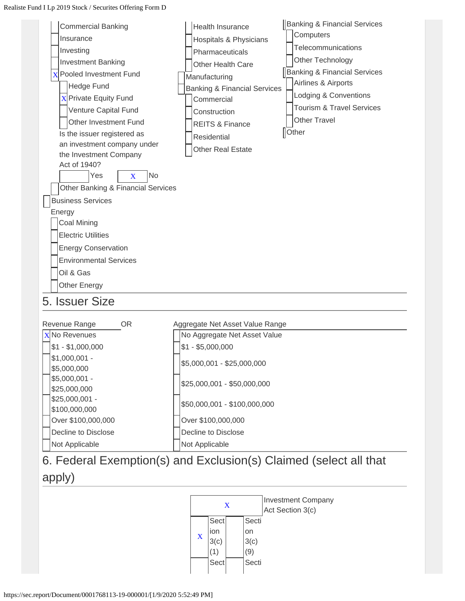



#### 6. Federal Exemption(s) and Exclusion(s) Claimed (select all that

#### apply)

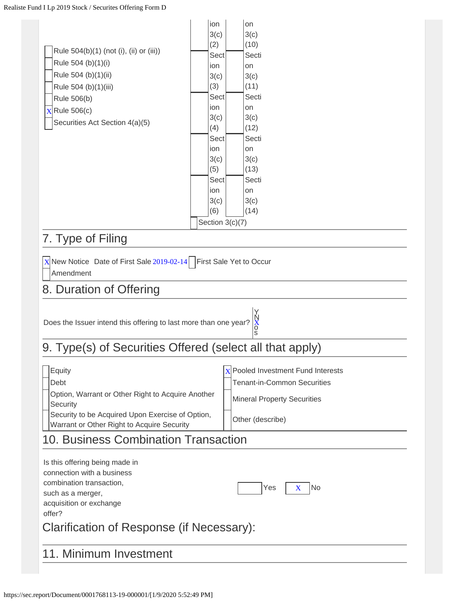| Rule 504(b)(1) (not (i), (ii) or (iii))<br>Rule 504 (b)(1)(i)                                                   | ion<br>3(c)<br>(2)<br>Sect<br>ion                                                                     |                 | on<br>3(c)<br>(10)<br>Secti<br>on                                                                         |  |
|-----------------------------------------------------------------------------------------------------------------|-------------------------------------------------------------------------------------------------------|-----------------|-----------------------------------------------------------------------------------------------------------|--|
| Rule 504 (b)(1)(ii)<br>Rule 504 (b)(1)(iii)<br>Rule 506(b)<br>$X$ Rule 506(c)<br>Securities Act Section 4(a)(5) | 3(c)<br>(3)<br>Sect<br>ion<br>3(c)<br>(4)<br>Sect<br>ion<br>3(c)<br>(5)<br>Sect<br>ion<br>3(c)<br>(6) | Section 3(c)(7) | 3(c)<br>(11)<br>Secti<br>on<br>3(c)<br>(12)<br>Secti<br>on<br>3(c)<br>(13)<br>Secti<br>on<br>3(c)<br>(14) |  |
| 7. Type of Filing                                                                                               |                                                                                                       |                 |                                                                                                           |  |
| $X$ New Notice Date of First Sale 2019-02-14   First Sale Yet to Occur<br>Amendment<br>8. Duration of Offering  |                                                                                                       |                 |                                                                                                           |  |
|                                                                                                                 |                                                                                                       |                 | Y,                                                                                                        |  |

#### Does the Issuer intend this offering to last more than one year?  $X$ s XN o

# 9. Type(s) of Securities Offered (select all that apply)

| Equity                                                                                         | $x$ Pooled Investment Fund Interests |
|------------------------------------------------------------------------------------------------|--------------------------------------|
| Debt                                                                                           | <b>Tenant-in-Common Securities</b>   |
| Option, Warrant or Other Right to Acquire Another<br>Security                                  | <b>Mineral Property Securities</b>   |
| Security to be Acquired Upon Exercise of Option,<br>Warrant or Other Right to Acquire Security | Other (describe)                     |

#### 10. Business Combination Transaction

| Is this offering being made in<br>connection with a business<br>combination transaction,<br>such as a merger,<br>acquisition or exchange<br>offer? | Yes<br><b>INo</b><br>$\mathbf x$ |
|----------------------------------------------------------------------------------------------------------------------------------------------------|----------------------------------|
| Clarification of Response (if Necessary):                                                                                                          |                                  |
| 11. Minimum Investment                                                                                                                             |                                  |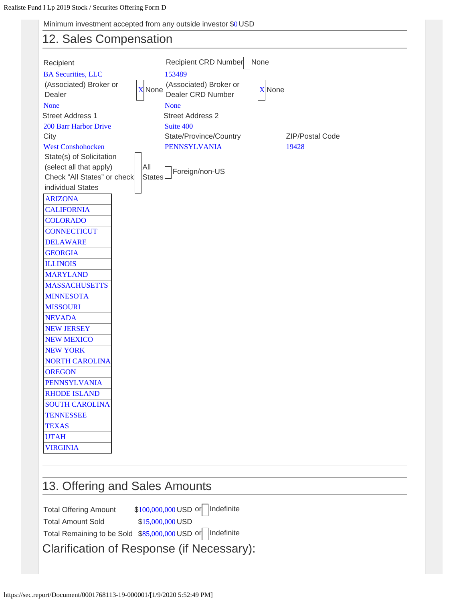Minimum investment accepted from any outside investor \$0 USD

#### 12. Sales Compensation

| Recipient<br><b>BA Securities, LLC</b> | Recipient CRD Number<br>None<br>153489                                           |  |
|----------------------------------------|----------------------------------------------------------------------------------|--|
| (Associated) Broker or                 | (Associated) Broker or<br><b>X</b> None<br><b>X</b> None                         |  |
| Dealer                                 | Dealer CRD Number                                                                |  |
| <b>None</b>                            | <b>None</b>                                                                      |  |
| <b>Street Address 1</b>                | <b>Street Address 2</b>                                                          |  |
| 200 Barr Harbor Drive                  | Suite 400                                                                        |  |
| City<br><b>West Conshohocken</b>       | State/Province/Country<br><b>ZIP/Postal Code</b><br><b>PENNSYLVANIA</b><br>19428 |  |
| State(s) of Solicitation               |                                                                                  |  |
| (select all that apply)                | All                                                                              |  |
| Check "All States" or check            | Foreign/non-US<br><b>States</b>                                                  |  |
| individual States                      |                                                                                  |  |
| <b>ARIZONA</b>                         |                                                                                  |  |
| <b>CALIFORNIA</b>                      |                                                                                  |  |
| <b>COLORADO</b>                        |                                                                                  |  |
| <b>CONNECTICUT</b>                     |                                                                                  |  |
| <b>DELAWARE</b>                        |                                                                                  |  |
| <b>GEORGIA</b>                         |                                                                                  |  |
| <b>ILLINOIS</b>                        |                                                                                  |  |
| <b>MARYLAND</b>                        |                                                                                  |  |
| <b>MASSACHUSETTS</b>                   |                                                                                  |  |
| <b>MINNESOTA</b>                       |                                                                                  |  |
| <b>MISSOURI</b>                        |                                                                                  |  |
| <b>NEVADA</b>                          |                                                                                  |  |
| <b>NEW JERSEY</b>                      |                                                                                  |  |
| <b>NEW MEXICO</b>                      |                                                                                  |  |
| <b>NEW YORK</b>                        |                                                                                  |  |
| <b>NORTH CAROLINA</b>                  |                                                                                  |  |
| <b>OREGON</b>                          |                                                                                  |  |
| <b>PENNSYLVANIA</b>                    |                                                                                  |  |
| <b>RHODE ISLAND</b>                    |                                                                                  |  |
| <b>SOUTH CAROLINA</b>                  |                                                                                  |  |
| <b>TENNESSEE</b>                       |                                                                                  |  |
| <b>TEXAS</b>                           |                                                                                  |  |
| <b>UTAH</b>                            |                                                                                  |  |
| <b>VIRGINIA</b>                        |                                                                                  |  |
|                                        |                                                                                  |  |

#### 13. Offering and Sales Amounts

Total Offering Amount \$100,000,000 USD or Indefinite Total Amount Sold \$15,000,000 USD

Total Remaining to be Sold \$85,000,000 USD or Indefinite

Clarification of Response (if Necessary):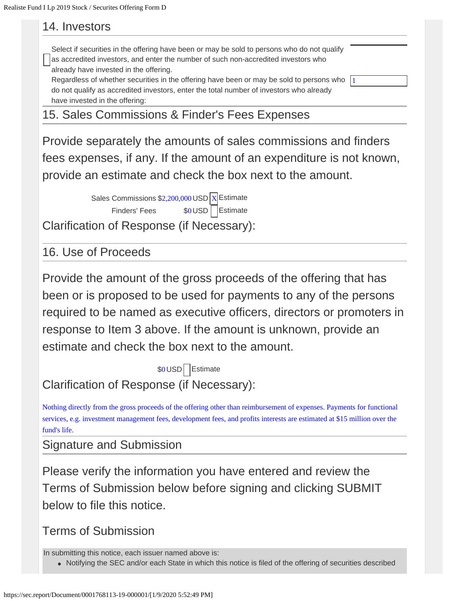#### 14. Investors

| Select if securities in the offering have been or may be sold to persons who do not qualify<br>as accredited investors, and enter the number of such non-accredited investors who |  |
|-----------------------------------------------------------------------------------------------------------------------------------------------------------------------------------|--|
| already have invested in the offering.                                                                                                                                            |  |
| Regardless of whether securities in the offering have been or may be sold to persons who                                                                                          |  |
| do not qualify as accredited investors, enter the total number of investors who already                                                                                           |  |
| have invested in the offering:                                                                                                                                                    |  |
|                                                                                                                                                                                   |  |

15. Sales Commissions & Finder's Fees Expenses

Provide separately the amounts of sales commissions and finders fees expenses, if any. If the amount of an expenditure is not known, provide an estimate and check the box next to the amount.

> Sales Commissions  $$2,200,000$  USD  $X$  Estimate Finders' Fees \$0 USD Estimate

Clarification of Response (if Necessary):

16. Use of Proceeds

Provide the amount of the gross proceeds of the offering that has been or is proposed to be used for payments to any of the persons required to be named as executive officers, directors or promoters in response to Item 3 above. If the amount is unknown, provide an estimate and check the box next to the amount.

\$0 USD | Estimate Clarification of Response (if Necessary):

Nothing directly from the gross proceeds of the offering other than reimbursement of expenses. Payments for functional services, e.g. investment management fees, development fees, and profits interests are estimated at \$15 million over the fund's life.

Signature and Submission

Please verify the information you have entered and review the Terms of Submission below before signing and clicking SUBMIT below to file this notice.

```
Terms of Submission
```
In submitting this notice, each issuer named above is:

• Notifying the SEC and/or each State in which this notice is filed of the offering of securities described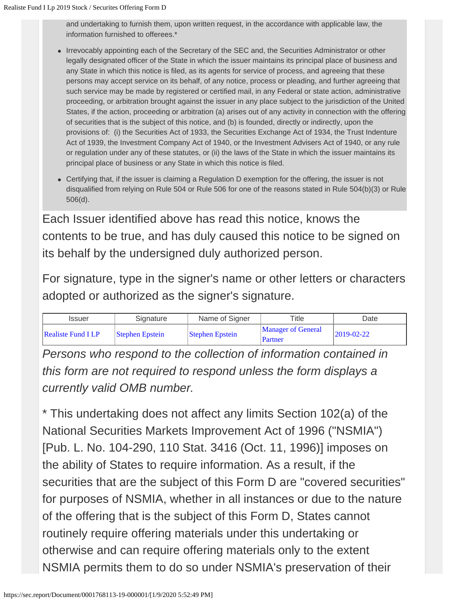and undertaking to furnish them, upon written request, in the accordance with applicable law, the information furnished to offerees.\*

- Irrevocably appointing each of the Secretary of the SEC and, the Securities Administrator or other legally designated officer of the State in which the issuer maintains its principal place of business and any State in which this notice is filed, as its agents for service of process, and agreeing that these persons may accept service on its behalf, of any notice, process or pleading, and further agreeing that such service may be made by registered or certified mail, in any Federal or state action, administrative proceeding, or arbitration brought against the issuer in any place subject to the jurisdiction of the United States, if the action, proceeding or arbitration (a) arises out of any activity in connection with the offering of securities that is the subject of this notice, and (b) is founded, directly or indirectly, upon the provisions of: (i) the Securities Act of 1933, the Securities Exchange Act of 1934, the Trust Indenture Act of 1939, the Investment Company Act of 1940, or the Investment Advisers Act of 1940, or any rule or regulation under any of these statutes, or (ii) the laws of the State in which the issuer maintains its principal place of business or any State in which this notice is filed.
- Certifying that, if the issuer is claiming a Regulation D exemption for the offering, the issuer is not disqualified from relying on Rule 504 or Rule 506 for one of the reasons stated in Rule 504(b)(3) or Rule 506(d).

Each Issuer identified above has read this notice, knows the contents to be true, and has duly caused this notice to be signed on its behalf by the undersigned duly authorized person.

For signature, type in the signer's name or other letters or characters adopted or authorized as the signer's signature.

| Issuer                    | Signature              | Name of Signer         | Title                                | Date       |
|---------------------------|------------------------|------------------------|--------------------------------------|------------|
| <b>Realiste Fund I LP</b> | <b>Stephen Epstein</b> | <b>Stephen Epstein</b> | <b>Manager of General</b><br>Partner | 2019-02-22 |

*Persons who respond to the collection of information contained in this form are not required to respond unless the form displays a currently valid OMB number.*

\* This undertaking does not affect any limits Section 102(a) of the National Securities Markets Improvement Act of 1996 ("NSMIA") [Pub. L. No. 104-290, 110 Stat. 3416 (Oct. 11, 1996)] imposes on the ability of States to require information. As a result, if the securities that are the subject of this Form D are "covered securities" for purposes of NSMIA, whether in all instances or due to the nature of the offering that is the subject of this Form D, States cannot routinely require offering materials under this undertaking or otherwise and can require offering materials only to the extent NSMIA permits them to do so under NSMIA's preservation of their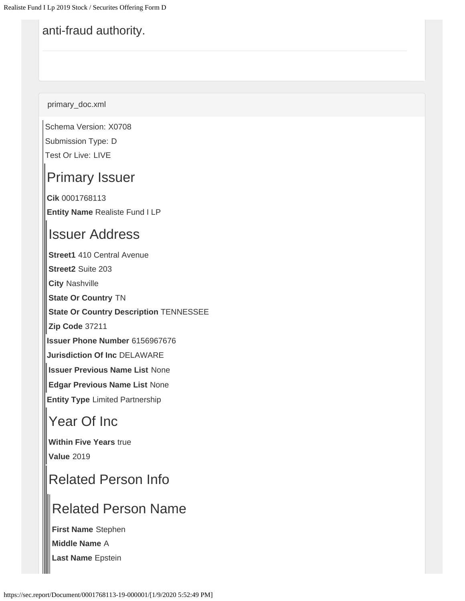#### anti-fraud authority.

primary\_doc.xml

Schema Version: X0708 Submission Type: D Test Or Live: LIVE

### Primary Issuer

**Cik** 0001768113 **Entity Name** Realiste Fund I LP

#### Issuer Address

**Street1** 410 Central Avenue

**Street2** Suite 203

**City** Nashville

**State Or Country** TN

**State Or Country Description** TENNESSEE

**Zip Code** 37211

**Issuer Phone Number** 6156967676

**Jurisdiction Of Inc** DELAWARE

**Issuer Previous Name List** None

**Edgar Previous Name List** None

**Entity Type** Limited Partnership

#### Year Of Inc

**Within Five Years** true **Value** 2019

# Related Person Info

### Related Person Name

**First Name** Stephen **Middle Name** A

**Last Name** Epstein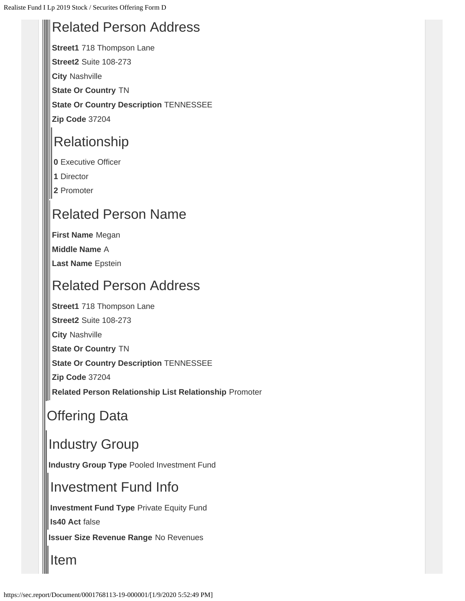#### Related Person Address

**Street1** 718 Thompson Lane **Street2** Suite 108-273

**City** Nashville

**State Or Country** TN

**State Or Country Description** TENNESSEE

**Zip Code** 37204

# Relationship

**0** Executive Officer

**1** Director

**2** Promoter

# Related Person Name

**First Name** Megan

**Middle Name** A

**Last Name** Epstein

# Related Person Address

**Street1** 718 Thompson Lane

**Street2** Suite 108-273

**City** Nashville

**State Or Country** TN

**State Or Country Description** TENNESSEE

**Zip Code** 37204

**Related Person Relationship List Relationship** Promoter

# Offering Data

# Industry Group

**Industry Group Type** Pooled Investment Fund

### Investment Fund Info

**Investment Fund Type** Private Equity Fund

**Is40 Act** false

**Issuer Size Revenue Range** No Revenues

Item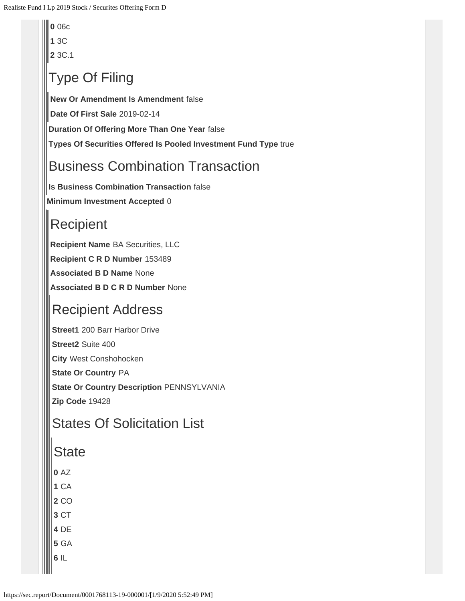**0** 06c

**1** 3C

**2** 3C.1

# Type Of Filing

**New Or Amendment Is Amendment** false

**Date Of First Sale** 2019-02-14

**Duration Of Offering More Than One Year** false

**Types Of Securities Offered Is Pooled Investment Fund Type** true

# Business Combination Transaction

**Is Business Combination Transaction** false

**Minimum Investment Accepted** 0

# **Recipient**

**Recipient Name** BA Securities, LLC **Recipient C R D Number** 153489 **Associated B D Name** None **Associated B D C R D Number** None

# Recipient Address

**Street1** 200 Barr Harbor Drive

**Street2** Suite 400

**City** West Conshohocken

**State Or Country** PA

**State Or Country Description** PENNSYLVANIA

**Zip Code** 19428

#### States Of Solicitation List

#### **State**

- **0** AZ
- **1** CA
- **2** CO
- **3** CT
- **4** DE
- **5** GA
- **6** IL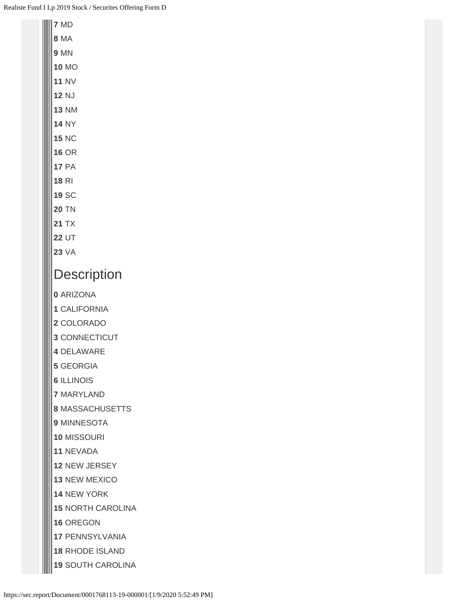| 7 MD                     |  |  |
|--------------------------|--|--|
| <b>8 MA</b>              |  |  |
| <b>9 MN</b>              |  |  |
| <b>10 MO</b>             |  |  |
| <b>11 NV</b>             |  |  |
| <b>12 NJ</b>             |  |  |
| <b>13 NM</b>             |  |  |
| <b>14 NY</b>             |  |  |
| <b>15 NC</b>             |  |  |
| <b>16 OR</b>             |  |  |
| <b>17 PA</b>             |  |  |
| <b>18 RI</b>             |  |  |
| <b>19 SC</b>             |  |  |
| <b>20 TN</b>             |  |  |
| <b>21 TX</b>             |  |  |
| <b>22 UT</b>             |  |  |
| <b>23 VA</b>             |  |  |
| Description              |  |  |
| 0 ARIZONA                |  |  |
| 1 CALIFORNIA             |  |  |
| 2 COLORADO               |  |  |
| 3 CONNECTICUT            |  |  |
| 4 DELAWARE               |  |  |
| <b>5 GEORGIA</b>         |  |  |
| <b>6 ILLINOIS</b>        |  |  |
| <b>7 MARYLAND</b>        |  |  |
| <b>8 MASSACHUSETTS</b>   |  |  |
| <b>9 MINNESOTA</b>       |  |  |
| <b>10 MISSOURI</b>       |  |  |
| 11 NEVADA                |  |  |
| <b>12 NEW JERSEY</b>     |  |  |
| <b>13 NEW MEXICO</b>     |  |  |
| <b>14 NEW YORK</b>       |  |  |
| <b>15 NORTH CAROLINA</b> |  |  |
| <b>16 OREGON</b>         |  |  |
| <b>17 PENNSYLVANIA</b>   |  |  |
| <b>18 RHODE ISLAND</b>   |  |  |
| <b>19 SOUTH CAROLINA</b> |  |  |
|                          |  |  |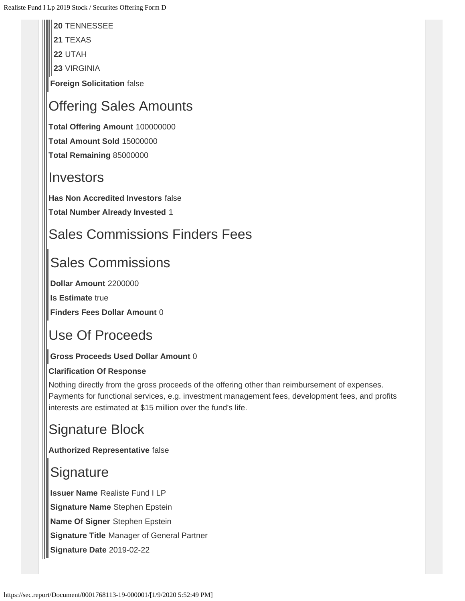**20** TENNESSEE

**21** TEXAS

**22** UTAH

**23** VIRGINIA

**Foreign Solicitation** false

# Offering Sales Amounts

**Total Offering Amount** 100000000 **Total Amount Sold** 15000000 **Total Remaining** 85000000

#### **Investors**

**Has Non Accredited Investors** false **Total Number Already Invested** 1

# Sales Commissions Finders Fees

# Sales Commissions

**Dollar Amount** 2200000

**Is Estimate** true

**Finders Fees Dollar Amount** 0

# Use Of Proceeds

#### **Gross Proceeds Used Dollar Amount** 0

#### **Clarification Of Response**

Nothing directly from the gross proceeds of the offering other than reimbursement of expenses. Payments for functional services, e.g. investment management fees, development fees, and profits interests are estimated at \$15 million over the fund's life.

# Signature Block

**Authorized Representative** false

# **Signature**

**Issuer Name** Realiste Fund I LP **Signature Name** Stephen Epstein **Name Of Signer** Stephen Epstein **Signature Title** Manager of General Partner **Signature Date** 2019-02-22